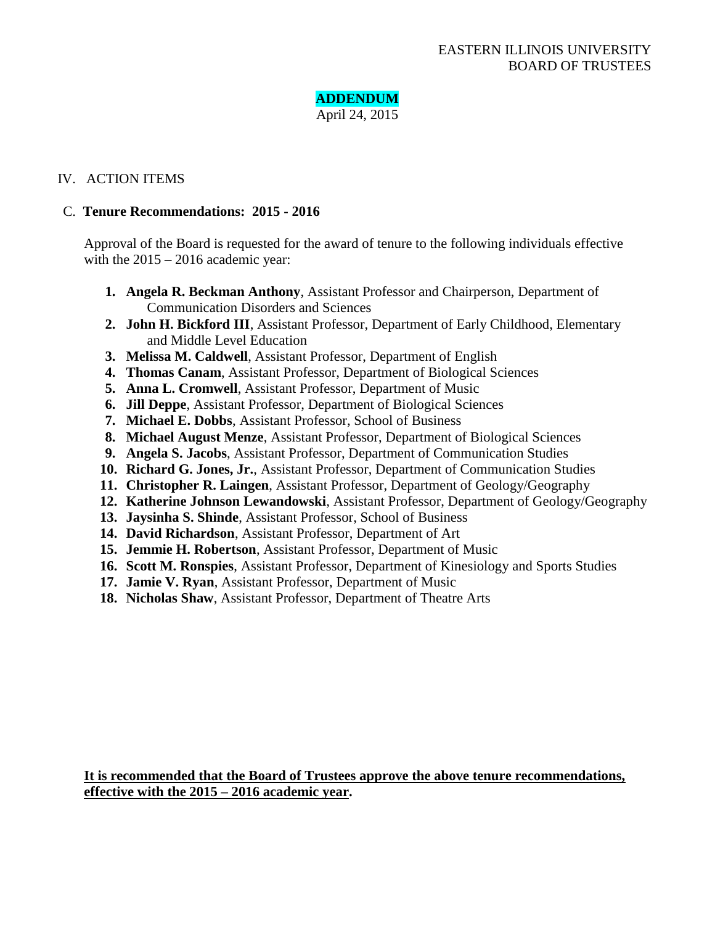

## IV. ACTION ITEMS

### C. **Tenure Recommendations: 2015 - 2016**

Approval of the Board is requested for the award of tenure to the following individuals effective with the  $2015 - 2016$  academic year:

- **1. Angela R. Beckman Anthony**, Assistant Professor and Chairperson, Department of Communication Disorders and Sciences
- **2. John H. Bickford III**, Assistant Professor, Department of Early Childhood, Elementary and Middle Level Education
- **3. Melissa M. Caldwell**, Assistant Professor, Department of English
- **4. Thomas Canam**, Assistant Professor, Department of Biological Sciences
- **5. Anna L. Cromwell**, Assistant Professor, Department of Music
- **6. Jill Deppe**, Assistant Professor, Department of Biological Sciences
- **7. Michael E. Dobbs**, Assistant Professor, School of Business
- **8. Michael August Menze**, Assistant Professor, Department of Biological Sciences
- **9. Angela S. Jacobs**, Assistant Professor, Department of Communication Studies
- **10. Richard G. Jones, Jr.**, Assistant Professor, Department of Communication Studies
- **11. Christopher R. Laingen**, Assistant Professor, Department of Geology/Geography
- **12. Katherine Johnson Lewandowski**, Assistant Professor, Department of Geology/Geography
- **13. Jaysinha S. Shinde**, Assistant Professor, School of Business
- **14. David Richardson**, Assistant Professor, Department of Art
- **15. Jemmie H. Robertson**, Assistant Professor, Department of Music
- **16. Scott M. Ronspies**, Assistant Professor, Department of Kinesiology and Sports Studies
- **17. Jamie V. Ryan**, Assistant Professor, Department of Music
- **18. Nicholas Shaw**, Assistant Professor, Department of Theatre Arts

**It is recommended that the Board of Trustees approve the above tenure recommendations, effective with the 2015 – 2016 academic year.**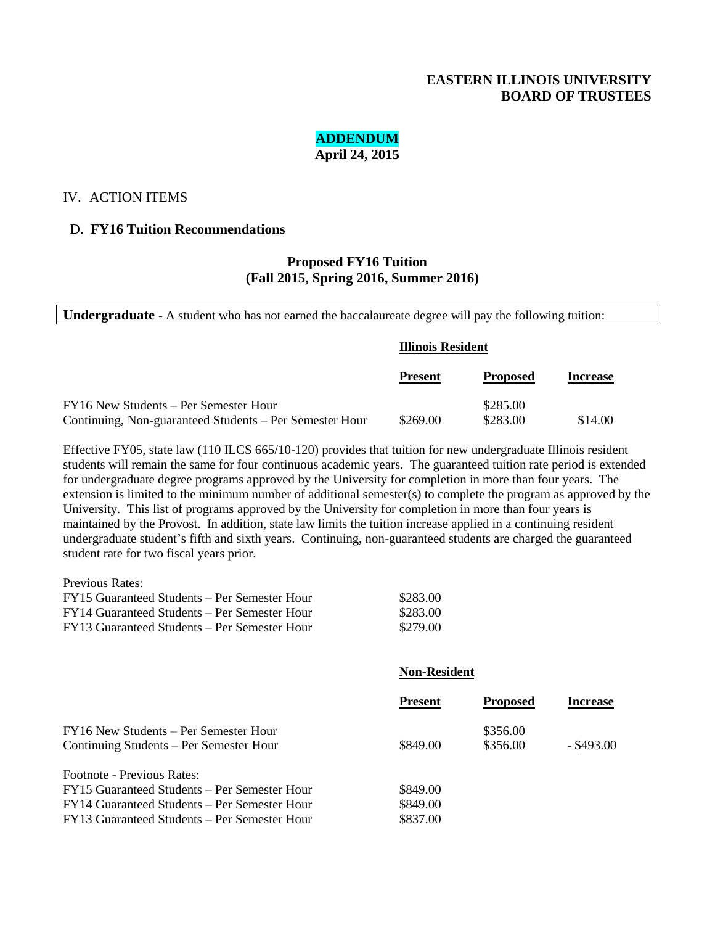## **EASTERN ILLINOIS UNIVERSITY BOARD OF TRUSTEES**

### **ADDENDUM April 24, 2015**

#### IV. ACTION ITEMS

#### D. **FY16 Tuition Recommendations**

### **Proposed FY16 Tuition (Fall 2015, Spring 2016, Summer 2016)**

**Undergraduate** - A student who has not earned the baccalaureate degree will pay the following tuition:

|                                                         | Illinois Resident |                 |                 |
|---------------------------------------------------------|-------------------|-----------------|-----------------|
|                                                         | <b>Present</b>    | <b>Proposed</b> | <b>Increase</b> |
| FY16 New Students – Per Semester Hour                   |                   | \$285.00        |                 |
| Continuing, Non-guaranteed Students – Per Semester Hour | \$269.00          | \$283.00        | \$14.00         |

Effective FY05, state law (110 ILCS 665/10-120) provides that tuition for new undergraduate Illinois resident students will remain the same for four continuous academic years. The guaranteed tuition rate period is extended for undergraduate degree programs approved by the University for completion in more than four years. The extension is limited to the minimum number of additional semester(s) to complete the program as approved by the University. This list of programs approved by the University for completion in more than four years is maintained by the Provost. In addition, state law limits the tuition increase applied in a continuing resident undergraduate student's fifth and sixth years. Continuing, non-guaranteed students are charged the guaranteed student rate for two fiscal years prior.

Previous Rates:

| FY15 Guaranteed Students – Per Semester Hour | \$283.00 |
|----------------------------------------------|----------|
| FY14 Guaranteed Students – Per Semester Hour | \$283.00 |
| FY13 Guaranteed Students – Per Semester Hour | \$279.00 |

#### **Non-Resident**

|                                              | <b>Present</b> | <b>Proposed</b> | Increase   |
|----------------------------------------------|----------------|-----------------|------------|
| FY16 New Students – Per Semester Hour        |                | \$356.00        |            |
| Continuing Students – Per Semester Hour      | \$849.00       | \$356.00        | - \$493.00 |
| Footnote - Previous Rates:                   |                |                 |            |
| FY15 Guaranteed Students – Per Semester Hour | \$849.00       |                 |            |
| FY14 Guaranteed Students – Per Semester Hour | \$849.00       |                 |            |
| FY13 Guaranteed Students – Per Semester Hour | \$837.00       |                 |            |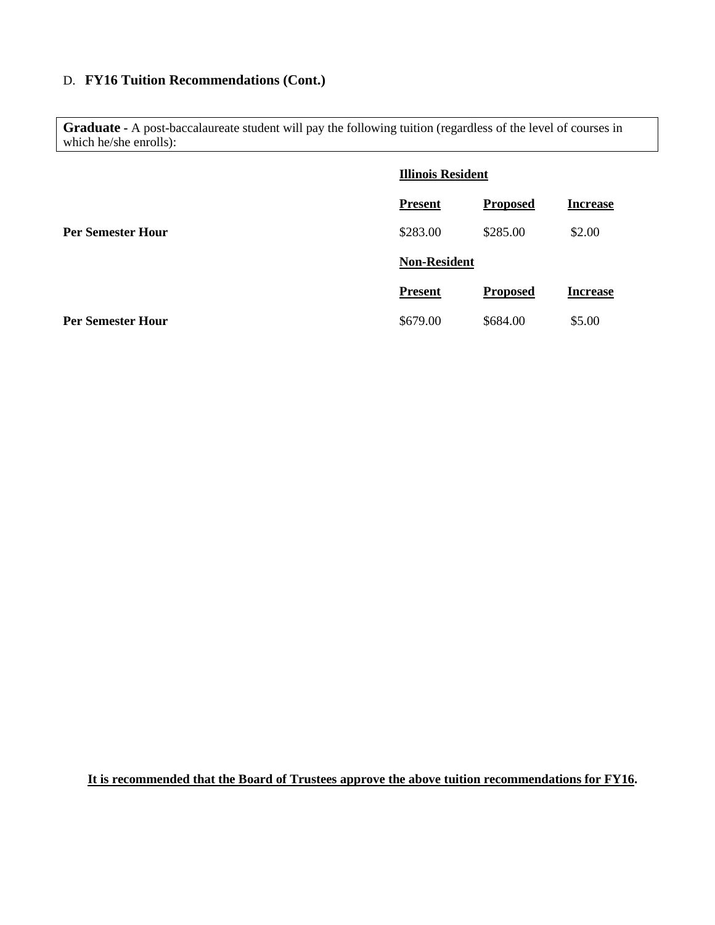# D. **FY16 Tuition Recommendations (Cont.)**

Graduate **-** A post-baccalaureate student will pay the following tuition (regardless of the level of courses in which he/she enrolls):

|                          | <b>Illinois Resident</b> |                 |                 |
|--------------------------|--------------------------|-----------------|-----------------|
|                          | <b>Present</b>           | <b>Proposed</b> | <b>Increase</b> |
| <b>Per Semester Hour</b> | \$283.00                 | \$285.00        | \$2.00          |
|                          | <b>Non-Resident</b>      |                 |                 |
|                          | <b>Present</b>           | <b>Proposed</b> | <b>Increase</b> |
| <b>Per Semester Hour</b> | \$679.00                 | \$684.00        | \$5.00          |

**It is recommended that the Board of Trustees approve the above tuition recommendations for FY16.**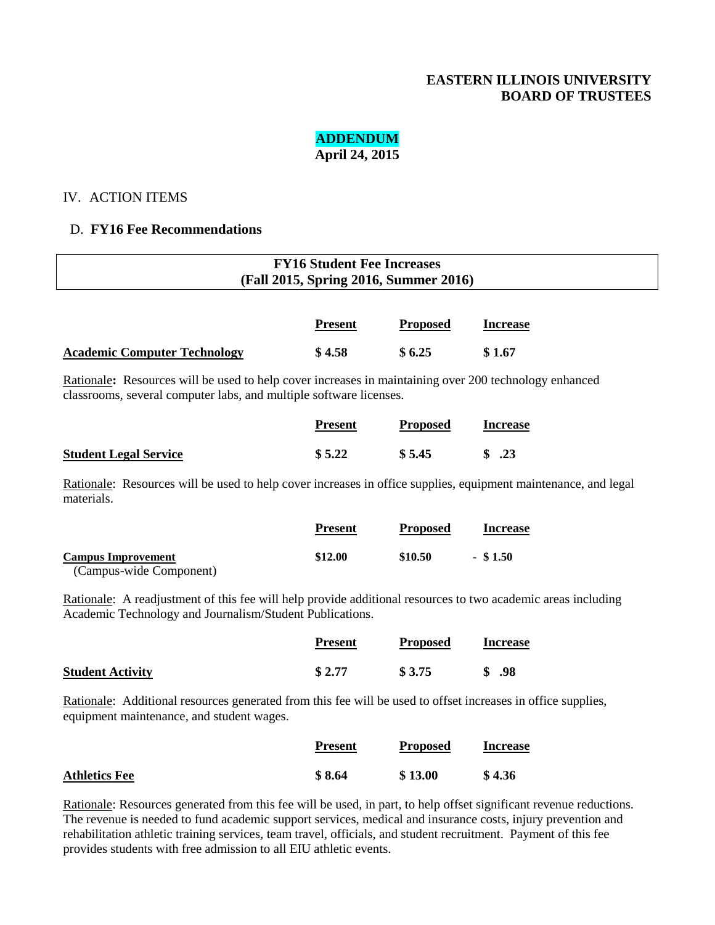## **EASTERN ILLINOIS UNIVERSITY BOARD OF TRUSTEES**

# **ADDENDUM**

## **April 24, 2015**

### IV. ACTION ITEMS

## D. **FY16 Fee Recommendations**

| <b>FY16 Student Fee Increases</b><br>(Fall 2015, Spring 2016, Summer 2016) |                |                 |                 |  |
|----------------------------------------------------------------------------|----------------|-----------------|-----------------|--|
|                                                                            | <b>Present</b> | <b>Proposed</b> | <b>Increase</b> |  |
| <b>Academic Computer Technology</b>                                        | \$4.58         | \$6.25          | \$1.67          |  |

Rationale**:** Resources will be used to help cover increases in maintaining over 200 technology enhanced classrooms, several computer labs, and multiple software licenses.

|                              | <b>Present</b> | <b>Proposed</b> | <b>Increase</b>                 |
|------------------------------|----------------|-----------------|---------------------------------|
| <b>Student Legal Service</b> | \$5.22         | \$5.45          | $\frac{\text{S}}{\text{S}}$ .23 |

Rationale: Resources will be used to help cover increases in office supplies, equipment maintenance, and legal materials.

|                           | <b>Present</b> | <b>Proposed</b> | <b>Increase</b> |
|---------------------------|----------------|-----------------|-----------------|
| <b>Campus Improvement</b> | \$12.00        | \$10.50         | $-$ \$1.50      |
| (Campus-wide Component)   |                |                 |                 |

Rationale: A readjustment of this fee will help provide additional resources to two academic areas including Academic Technology and Journalism/Student Publications.

|                         | <b>Present</b> | <b>Proposed</b> | <b>Increase</b> |
|-------------------------|----------------|-----------------|-----------------|
| <b>Student Activity</b> | \$2.77         | \$3.75          | .98             |

Rationale: Additional resources generated from this fee will be used to offset increases in office supplies, equipment maintenance, and student wages.

|                      | <b>Present</b> | <b>Proposed</b> | <b>Increase</b> |
|----------------------|----------------|-----------------|-----------------|
| <b>Athletics Fee</b> | \$8.64         | \$13.00         | \$4.36          |

Rationale: Resources generated from this fee will be used, in part, to help offset significant revenue reductions. The revenue is needed to fund academic support services, medical and insurance costs, injury prevention and rehabilitation athletic training services, team travel, officials, and student recruitment. Payment of this fee provides students with free admission to all EIU athletic events.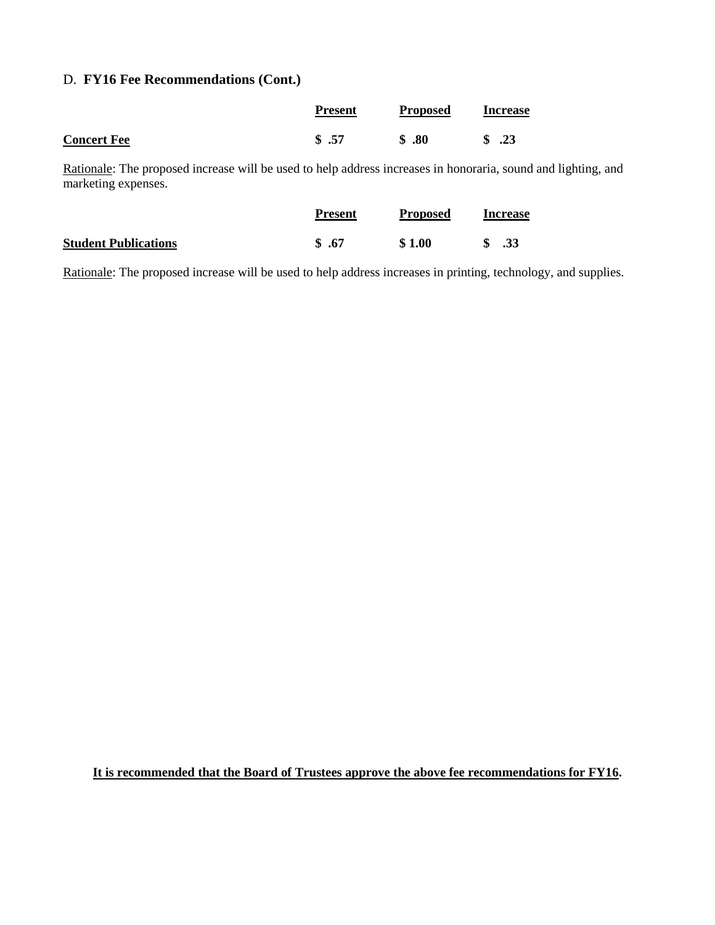# D. **FY16 Fee Recommendations (Cont.)**

|                    | <b>Present</b> | <b>Proposed</b> | <b>Increase</b>                 |
|--------------------|----------------|-----------------|---------------------------------|
| <b>Concert Fee</b> | \$.57          | $\$\,.80$       | $\frac{\text{S}}{\text{S}}$ .23 |

Rationale: The proposed increase will be used to help address increases in honoraria, sound and lighting, and marketing expenses.

|                             | <b>Present</b> | <b>Proposed</b> | <b>Increase</b> |
|-----------------------------|----------------|-----------------|-----------------|
| <b>Student Publications</b> | \$.67          | \$1.00          | .33             |

Rationale: The proposed increase will be used to help address increases in printing, technology, and supplies.

**It is recommended that the Board of Trustees approve the above fee recommendations for FY16.**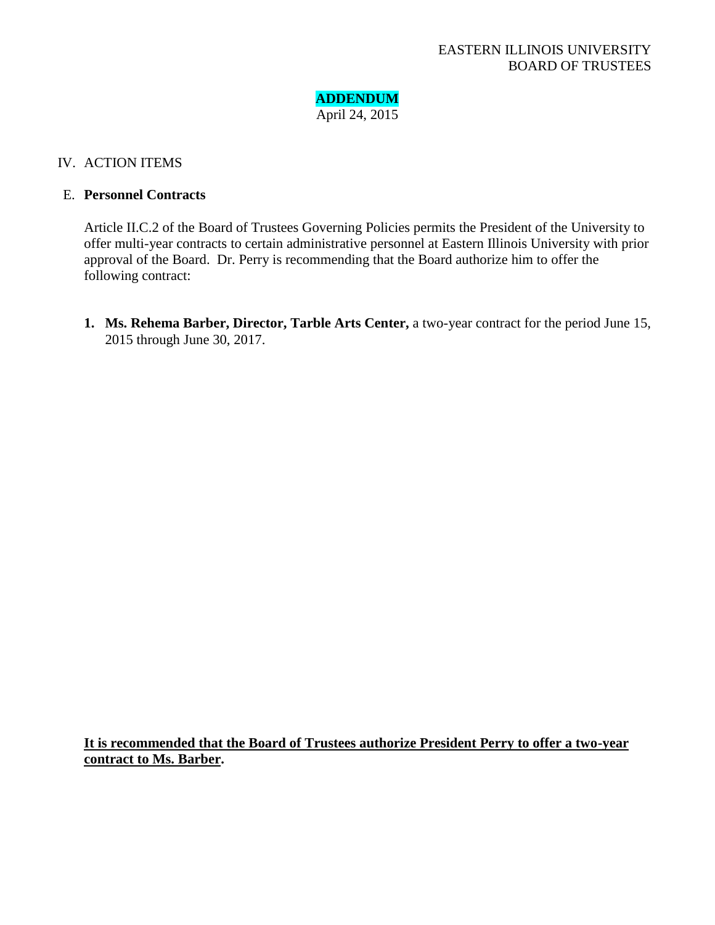

### IV. ACTION ITEMS

### E. **Personnel Contracts**

Article II.C.2 of the Board of Trustees Governing Policies permits the President of the University to offer multi-year contracts to certain administrative personnel at Eastern Illinois University with prior approval of the Board. Dr. Perry is recommending that the Board authorize him to offer the following contract:

**1. Ms. Rehema Barber, Director, Tarble Arts Center,** a two-year contract for the period June 15, 2015 through June 30, 2017.

**It is recommended that the Board of Trustees authorize President Perry to offer a two-year contract to Ms. Barber.**